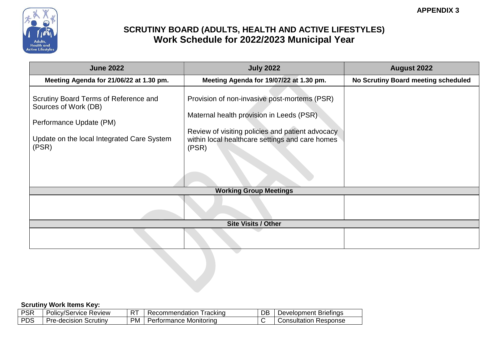

| <b>June 2022</b>                                                                                                                                | <b>July 2022</b>                                                                                                                                                                                         | <b>August 2022</b>                  |
|-------------------------------------------------------------------------------------------------------------------------------------------------|----------------------------------------------------------------------------------------------------------------------------------------------------------------------------------------------------------|-------------------------------------|
| Meeting Agenda for 21/06/22 at 1.30 pm.                                                                                                         | Meeting Agenda for 19/07/22 at 1.30 pm.                                                                                                                                                                  | No Scrutiny Board meeting scheduled |
| Scrutiny Board Terms of Reference and<br>Sources of Work (DB)<br>Performance Update (PM)<br>Update on the local Integrated Care System<br>(PSR) | Provision of non-invasive post-mortems (PSR)<br>Maternal health provision in Leeds (PSR)<br>Review of visiting policies and patient advocacy<br>within local healthcare settings and care homes<br>(PSR) |                                     |
|                                                                                                                                                 | <b>Working Group Meetings</b>                                                                                                                                                                            |                                     |
|                                                                                                                                                 |                                                                                                                                                                                                          |                                     |
|                                                                                                                                                 | <b>Site Visits / Other</b>                                                                                                                                                                               |                                     |
|                                                                                                                                                 |                                                                                                                                                                                                          |                                     |

| non<br>חס  | $\sim$<br>Policy <sub>/</sub><br>.Ser<br><b>rvice</b> | $-$<br>Review<br>$\sim$ | racking<br>ommendation.     | DB | <b>Briefings</b><br>Development : |
|------------|-------------------------------------------------------|-------------------------|-----------------------------|----|-----------------------------------|
| <b>DDC</b> | Scrutiny<br>l Jr.<br>.-decision<br>- 11               | <b>PM</b>               | Monitorina<br>ormance<br>eı |    | Response<br><i>J</i> onsultatior  |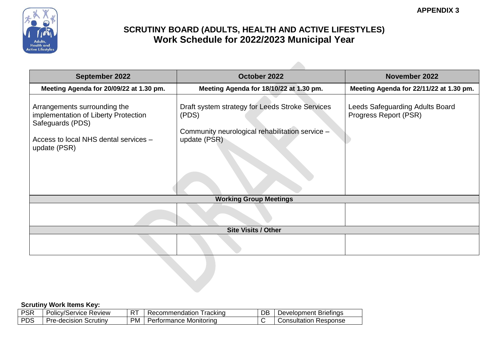

 $\mathcal{L}$ 

| <b>September 2022</b>                                                                                                                             | October 2022                                                                                                                | November 2022                                            |
|---------------------------------------------------------------------------------------------------------------------------------------------------|-----------------------------------------------------------------------------------------------------------------------------|----------------------------------------------------------|
| Meeting Agenda for 20/09/22 at 1.30 pm.                                                                                                           | Meeting Agenda for 18/10/22 at 1.30 pm.                                                                                     | Meeting Agenda for 22/11/22 at 1.30 pm.                  |
| Arrangements surrounding the<br>implementation of Liberty Protection<br>Safeguards (PDS)<br>Access to local NHS dental services -<br>update (PSR) | Draft system strategy for Leeds Stroke Services<br>(PDS)<br>Community neurological rehabilitation service -<br>update (PSR) | Leeds Safeguarding Adults Board<br>Progress Report (PSR) |
|                                                                                                                                                   | <b>Working Group Meetings</b>                                                                                               |                                                          |
|                                                                                                                                                   |                                                                                                                             |                                                          |
|                                                                                                                                                   | <b>Site Visits / Other</b>                                                                                                  |                                                          |
|                                                                                                                                                   |                                                                                                                             |                                                          |

| non<br>חס  | $\sim$<br>Policy <sub>/</sub><br>.Ser<br><b>rvice</b> | $-$<br>Review<br>$\sim$ | racking<br>ommendation.     | DB | <b>Briefings</b><br>Development : |
|------------|-------------------------------------------------------|-------------------------|-----------------------------|----|-----------------------------------|
| <b>DDC</b> | Scrutiny<br>l Jr.<br>.-decision<br>- 11               | <b>PM</b>               | Monitorina<br>ormance<br>eı |    | Response<br><i>J</i> onsultatior  |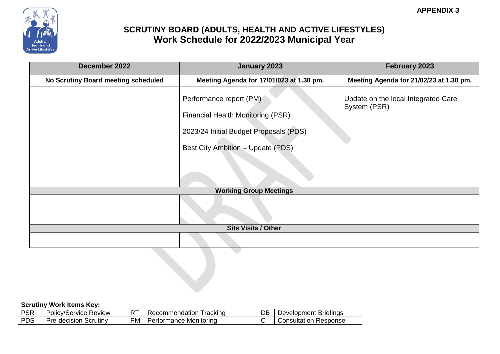

| December 2022                       | <b>January 2023</b>                                                 | February 2023                                       |
|-------------------------------------|---------------------------------------------------------------------|-----------------------------------------------------|
| No Scrutiny Board meeting scheduled | Meeting Agenda for 17/01/023 at 1.30 pm.                            | Meeting Agenda for 21/02/23 at 1.30 pm.             |
|                                     | Performance report (PM)<br><b>Financial Health Monitoring (PSR)</b> | Update on the local Integrated Care<br>System (PSR) |
|                                     | 2023/24 Initial Budget Proposals (PDS)                              |                                                     |
|                                     | Best City Ambition - Update (PDS)                                   |                                                     |
|                                     |                                                                     |                                                     |
|                                     | <b>Working Group Meetings</b>                                       |                                                     |
|                                     |                                                                     |                                                     |
|                                     | <b>Site Visits / Other</b>                                          |                                                     |
|                                     |                                                                     |                                                     |

| non<br>חס׳ | $\overline{\phantom{a}}$<br>Review<br>olicv/Service- | $- -$ | racking<br>nendation<br>e<br>.omr | DB | Briefings<br>nent<br>Jevelopr |
|------------|------------------------------------------------------|-------|-----------------------------------|----|-------------------------------|
| <b>PDS</b> | Scrutinv<br>متزا<br>`-decision<br>.                  | PM    | . Monitorina<br>ormance           |    | Response<br>⊜onsultation      |